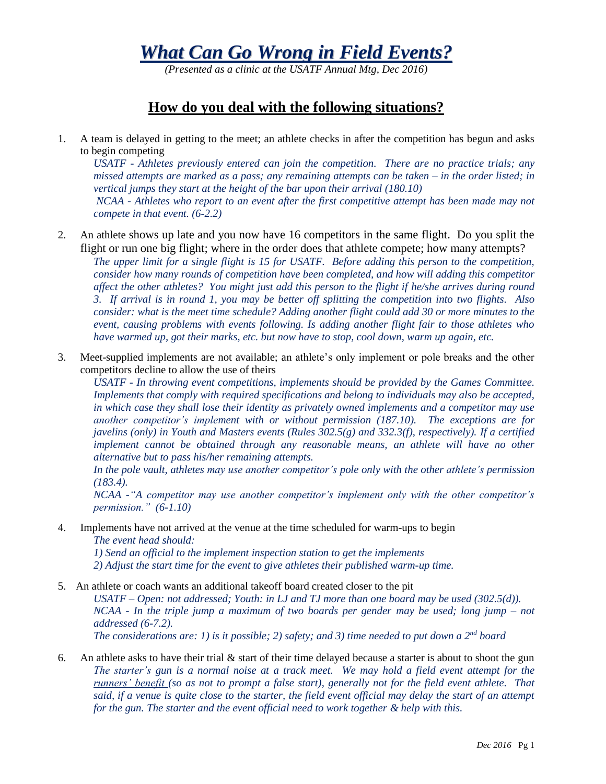*What Can Go Wrong in Field Events?*

*(Presented as a clinic at the USATF Annual Mtg, Dec 2016)*

## **How do you deal with the following situations?**

1. A team is delayed in getting to the meet; an athlete checks in after the competition has begun and asks to begin competing

*USATF - Athletes previously entered can join the competition. There are no practice trials; any missed attempts are marked as a pass; any remaining attempts can be taken – in the order listed; in vertical jumps they start at the height of the bar upon their arrival (180.10) NCAA - Athletes who report to an event after the first competitive attempt has been made may not compete in that event. (6-2.2)*

2. An athlete shows up late and you now have 16 competitors in the same flight. Do you split the flight or run one big flight; where in the order does that athlete compete; how many attempts?

*The upper limit for a single flight is 15 for USATF. Before adding this person to the competition, consider how many rounds of competition have been completed, and how will adding this competitor affect the other athletes? You might just add this person to the flight if he/she arrives during round 3. If arrival is in round 1, you may be better off splitting the competition into two flights. Also consider: what is the meet time schedule? Adding another flight could add 30 or more minutes to the event, causing problems with events following. Is adding another flight fair to those athletes who have warmed up, got their marks, etc. but now have to stop, cool down, warm up again, etc.*

3. Meet-supplied implements are not available; an athlete's only implement or pole breaks and the other competitors decline to allow the use of theirs

*USATF - In throwing event competitions, implements should be provided by the Games Committee. Implements that comply with required specifications and belong to individuals may also be accepted, in which case they shall lose their identity as privately owned implements and a competitor may use another competitor's implement with or without permission (187.10). The exceptions are for javelins (only) in Youth and Masters events (Rules 302.5(g) and 332.3(f), respectively). If a certified implement cannot be obtained through any reasonable means, an athlete will have no other alternative but to pass his/her remaining attempts.*

*In the pole vault, athletes may use another competitor's pole only with the other athlete's permission (183.4).*

*NCAA -"A competitor may use another competitor's implement only with the other competitor's permission." (6-1.10)*

4. Implements have not arrived at the venue at the time scheduled for warm-ups to begin *The event head should:*

*1) Send an official to the implement inspection station to get the implements 2) Adjust the start time for the event to give athletes their published warm-up time.*

- 5. An athlete or coach wants an additional takeoff board created closer to the pit *USATF – Open: not addressed; Youth: in LJ and TJ more than one board may be used (302.5(d)). NCAA - In the triple jump a maximum of two boards per gender may be used; long jump – not addressed (6-7.2). The considerations are: 1) is it possible; 2) safety; and 3) time needed to put down a 2nd board*
- 6. An athlete asks to have their trial  $\&$  start of their time delayed because a starter is about to shoot the gun *The starter's gun is a normal noise at a track meet. We may hold a field event attempt for the runners' benefit (so as not to prompt a false start), generally not for the field event athlete. That said, if a venue is quite close to the starter, the field event official may delay the start of an attempt for the gun. The starter and the event official need to work together & help with this.*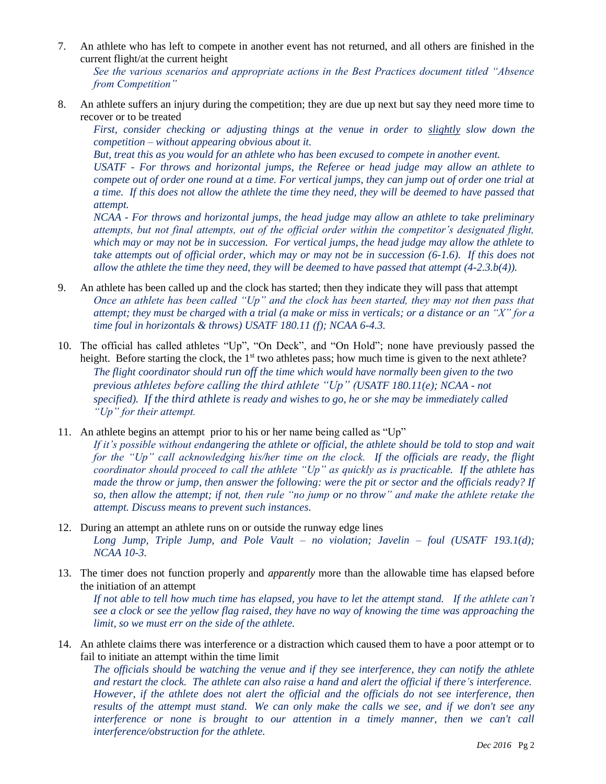7. An athlete who has left to compete in another event has not returned, and all others are finished in the current flight/at the current height

*See the various scenarios and appropriate actions in the Best Practices document titled "Absence from Competition"*

8. An athlete suffers an injury during the competition; they are due up next but say they need more time to recover or to be treated

*First, consider checking or adjusting things at the venue in order to slightly slow down the competition – without appearing obvious about it.* 

*But, treat this as you would for an athlete who has been excused to compete in another event.* 

*USATF - For throws and horizontal jumps, the Referee or head judge may allow an athlete to compete out of order one round at a time. For vertical jumps, they can jump out of order one trial at a time. If this does not allow the athlete the time they need, they will be deemed to have passed that attempt.*

*NCAA - For throws and horizontal jumps, the head judge may allow an athlete to take preliminary attempts, but not final attempts, out of the official order within the competitor's designated flight, which may or may not be in succession. For vertical jumps, the head judge may allow the athlete to take attempts out of official order, which may or may not be in succession (6-1.6). If this does not allow the athlete the time they need, they will be deemed to have passed that attempt (4-2.3.b(4)).*

- 9. An athlete has been called up and the clock has started; then they indicate they will pass that attempt *Once an athlete has been called "Up" and the clock has been started, they may not then pass that attempt; they must be charged with a trial (a make or miss in verticals; or a distance or an "X" for a time foul in horizontals & throws) USATF 180.11 (f); NCAA 6-4.3.*
- 10. The official has called athletes "Up", "On Deck", and "On Hold"; none have previously passed the height. Before starting the clock, the  $1<sup>st</sup>$  two athletes pass; how much time is given to the next athlete? *The flight coordinator should run off the time which would have normally been given to the two previous athletes before calling the third athlete "Up" (USATF 180.11(e); NCAA - not specified). If the third athlete is ready and wishes to go, he or she may be immediately called "Up" for their attempt.*

11. An athlete begins an attempt prior to his or her name being called as "Up"

*If it's possible without endangering the athlete or official, the athlete should be told to stop and wait for the "Up" call acknowledging his/her time on the clock. If the officials are ready, the flight coordinator should proceed to call the athlete "Up" as quickly as is practicable. If the athlete has made the throw or jump, then answer the following: were the pit or sector and the officials ready? If so, then allow the attempt; if not, then rule "no jump or no throw" and make the athlete retake the attempt. Discuss means to prevent such instances.*

- 12. During an attempt an athlete runs on or outside the runway edge lines *Long Jump, Triple Jump, and Pole Vault – no violation; Javelin – foul (USATF 193.1(d); NCAA 10-3.*
- 13. The timer does not function properly and *apparently* more than the allowable time has elapsed before the initiation of an attempt

*If not able to tell how much time has elapsed, you have to let the attempt stand. If the athlete can't see a clock or see the yellow flag raised, they have no way of knowing the time was approaching the limit, so we must err on the side of the athlete.*

14. An athlete claims there was interference or a distraction which caused them to have a poor attempt or to fail to initiate an attempt within the time limit

*The officials should be watching the venue and if they see interference, they can notify the athlete and restart the clock. The athlete can also raise a hand and alert the official if there's interference. However, if the athlete does not alert the official and the officials do not see interference, then results of the attempt must stand. We can only make the calls we see, and if we don't see any interference or none is brought to our attention in a timely manner, then we can't call interference/obstruction for the athlete.*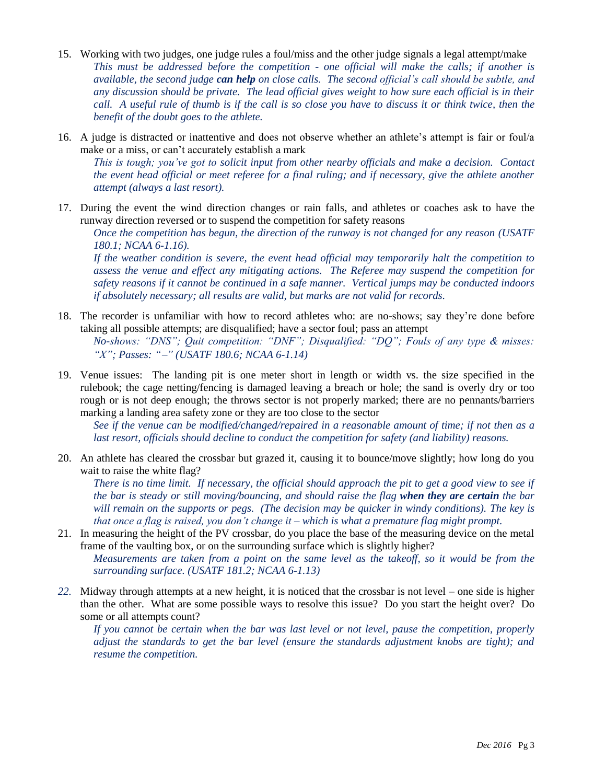- 15. Working with two judges, one judge rules a foul/miss and the other judge signals a legal attempt/make *This must be addressed before the competition - one official will make the calls; if another is available, the second judge can help on close calls. The second official's call should be subtle, and any discussion should be private. The lead official gives weight to how sure each official is in their call. A useful rule of thumb is if the call is so close you have to discuss it or think twice, then the benefit of the doubt goes to the athlete.*
- 16. A judge is distracted or inattentive and does not observe whether an athlete's attempt is fair or foul/a make or a miss, or can't accurately establish a mark

*This is tough; you've got to solicit input from other nearby officials and make a decision. Contact the event head official or meet referee for a final ruling; and if necessary, give the athlete another attempt (always a last resort).*

17. During the event the wind direction changes or rain falls, and athletes or coaches ask to have the runway direction reversed or to suspend the competition for safety reasons

*Once the competition has begun, the direction of the runway is not changed for any reason (USATF 180.1; NCAA 6-1.16).* 

*If the weather condition is severe, the event head official may temporarily halt the competition to assess the venue and effect any mitigating actions. The Referee may suspend the competition for safety reasons if it cannot be continued in a safe manner. Vertical jumps may be conducted indoors if absolutely necessary; all results are valid, but marks are not valid for records.*

- 18. The recorder is unfamiliar with how to record athletes who: are no-shows; say they're done before taking all possible attempts; are disqualified; have a sector foul; pass an attempt *No-shows: "DNS"; Quit competition: "DNF"; Disqualified: "DQ"; Fouls of any type & misses: "X"; Passes: "" (USATF 180.6; NCAA 6-1.14)*
- 19. Venue issues: The landing pit is one meter short in length or width vs. the size specified in the rulebook; the cage netting/fencing is damaged leaving a breach or hole; the sand is overly dry or too rough or is not deep enough; the throws sector is not properly marked; there are no pennants/barriers marking a landing area safety zone or they are too close to the sector

*See if the venue can be modified/changed/repaired in a reasonable amount of time; if not then as a last resort, officials should decline to conduct the competition for safety (and liability) reasons.* 

20. An athlete has cleared the crossbar but grazed it, causing it to bounce/move slightly; how long do you wait to raise the white flag?

*There is no time limit. If necessary, the official should approach the pit to get a good view to see if the bar is steady or still moving/bouncing, and should raise the flag when they are certain the bar will remain on the supports or pegs. (The decision may be quicker in windy conditions). The key is that once a flag is raised, you don't change it – which is what a premature flag might prompt.*

- 21. In measuring the height of the PV crossbar, do you place the base of the measuring device on the metal frame of the vaulting box, or on the surrounding surface which is slightly higher? *Measurements are taken from a point on the same level as the takeoff, so it would be from the surrounding surface. (USATF 181.2; NCAA 6-1.13)*
- *22.* Midway through attempts at a new height, it is noticed that the crossbar is not level one side is higher than the other. What are some possible ways to resolve this issue? Do you start the height over? Do some or all attempts count?

*If you cannot be certain when the bar was last level or not level, pause the competition, properly adjust the standards to get the bar level (ensure the standards adjustment knobs are tight); and resume the competition.*